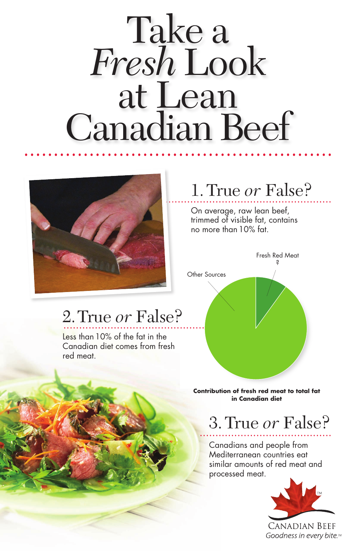On average, raw lean beef, trimmed of visible fat, contains no more than 10% fat.

### 1. True *or* False? .....................................................

Canadians and people from Mediterranean countries eat similar amounts of red meat and processed meat.



### 3. True *or* False? ..........................................

#### 4. IIUC 07 I QDC. 2.True *or* False?

### .................................................... Take a *Fresh*Look at Lean Canadian Beef



**Contribution of fresh red meat to total fat in Canadian diet** 



Less than 10% of the fat in the Canadian diet comes from fresh red meat.